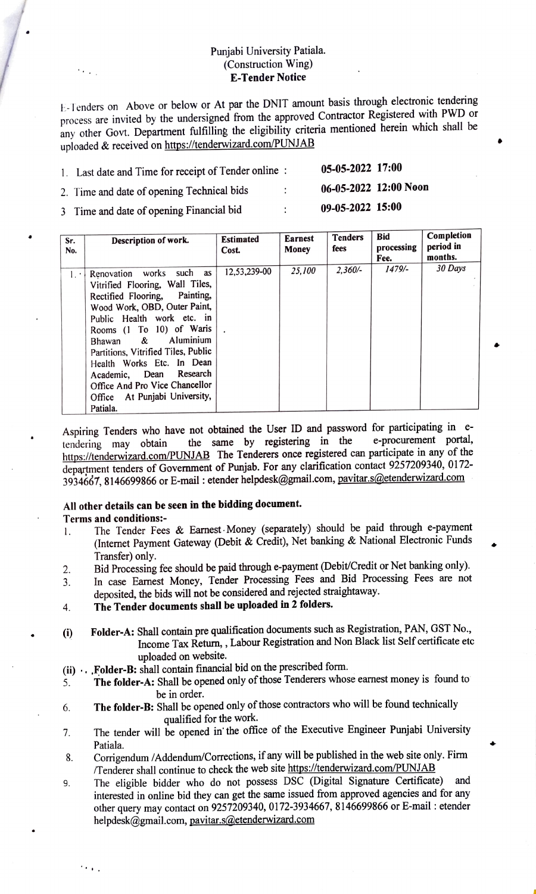#### Punjabi University Patiala. (Construction Wing) E-Tender Notice

E-Tenders on Above or below or At par the DNIT amount basis through electronic tendering process are invited by the undersigned from the approved Contractor Registered with PWD or any other Govt. Department fulfilling the eligibility criteria mentioned herein which shall be uploaded & received on https://tenderwizard.com/PUNJAB

| 1. Last date and Time for receipt of Tender online: |                      | 05-05-2022 17:00      |  |
|-----------------------------------------------------|----------------------|-----------------------|--|
| 2. Time and date of opening Technical bids          | $\ddot{\phantom{0}}$ | 06-05-2022 12:00 Noon |  |
| 3 Time and date of opening Financial bid            | . .                  | 09-05-2022 15:00      |  |

| Sr.<br>No. | Description of work.                                                                                                                                                                                                                                                                                                                                                                       | <b>Estimated</b><br>Cost. | <b>Earnest</b><br>Money | <b>Tenders</b><br>fees | <b>Bid</b><br>processing<br>Fee. | Completion<br>period in<br>months. |
|------------|--------------------------------------------------------------------------------------------------------------------------------------------------------------------------------------------------------------------------------------------------------------------------------------------------------------------------------------------------------------------------------------------|---------------------------|-------------------------|------------------------|----------------------------------|------------------------------------|
| 1.1        | Renovation works such as<br>Vitrified Flooring, Wall Tiles,<br>Rectified Flooring, Painting,<br>Wood Work, OBD, Outer Paint,<br>Public Health work etc. in<br>Rooms (1 To 10) of Waris<br>Bhawan & Aluminium<br>Partitions, Vitrified Tiles, Public<br>Health Works Etc. In Dean<br>Academic, Dean Research<br>Office And Pro Vice Chancellor<br>Office At Punjabi University,<br>Patiala. | 12,53,239-00              | 25.100                  | $2.360/-$              | $1479/-$                         | 30 Days                            |

Aspiring Tenders who have not obtained the User ID and password for participating in e tendering may obtain https://tenderwizard.com/PUNJAB The Tenderers once registered can participate in any of the department tenders of Government of Punjab. For any clarification contact 9257209340, 0172- 3934667, 8146699866 or E-mail: etender helpdesk@gmail.com, pavitar.s@etenderwizard.com the same by registering in the e-procurement portal,

### All other details can be seen in the bidding document.

#### Terms and conditions:

- The Tender Fees & Earnest Money (separately) should be paid through e-payment (Internet Payment Gateway (Debit & Credit), Net banking & National Electronic Funds .
- Transfer) only. Bid Processing fee should be paid through e-payment (Debit/Credit or Net banking only). 2.
- In case Earnest Money, Tender Processing Fees and Bid Processing Fees are not deposited, the bids will not be considered and rejected straightaway. 3.
- The Tender documents shall be uploaded in 2 folders. 4.
- () Folder-A: Shall contain pre qualification documents such as Registration, PAN, GST No., Income Tax Return, , Labour Registration and Non Black list Self certificate etc uploaded on website.
	-
- (ii). Folder-B: shall contain financial bid on the prescribed form.<br>5. The folder-A: Shall be opened only of those Tenderers whos The folder-A: Shall be opened only of those Tenderers whose earnest money is found to be in order.
- The folder-B: Shall be opened only of those contractors who will be found technically . qualified for the work.
- The tender will be opened in' the office of the Executive Engineer Punjabi University Patiala. 7.
- Corrigendum /Addendum/Corrections, if any will be published in the web site only. Fim /Tenderer shall continue to check the web site https://tenderwizard.com/PUNJAB 8.
- The eligible bidder who do not possess DSC (Digital Signature Certificate) and interested in online bid they can get the same issued from approved agencies and for any other query may contact on 9257209340, 0172-3934667, 8146699866 or E-mail : etender helpdesk@gmail.com, pavitar.s@etenderwizard.com 9.